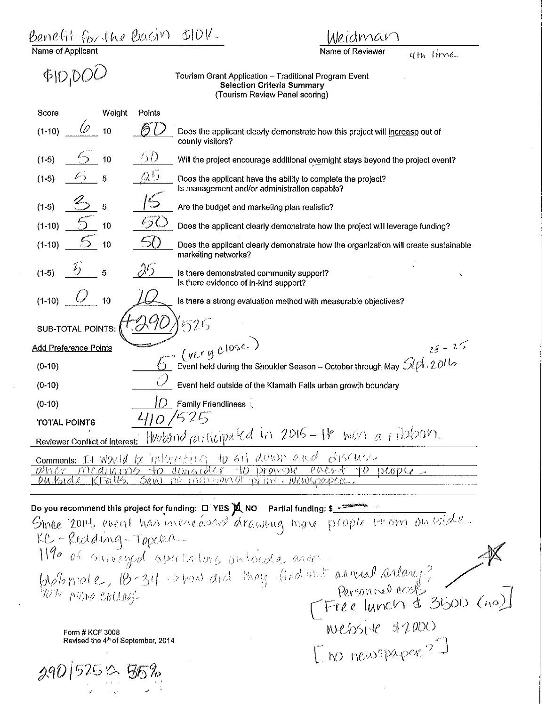Benefit for the Basin veidman Name of Applican Name of Reviewer 4ti, *livv,e* -  $\Phi$ l $\mathcal{D}_1$ D $\mathcal{O}\mathcal{D}_2$ Tourism Grant Application - Traditional Program Event Selection Criteria Summary (Tourism Review Panel scoring) Score Weight Points  $(1-10)$   $(2)$  10  $\beta$  l Does the applicant clearly demonstrate how this project will increase out of county visitors?  $\langle \cdot \rangle$  ()  $(1-5)$  <sup>(</sup>) 10 Will the project encourage additional overnight stays beyond the project event?  $\Delta^0$  :  $(1-5)$   $(2)$  5 Does the applicant have the ability to complete the project?  $\sqrt{5}$ Is management and/or administration capable? (1-5) *b* <sup>5</sup> Are the budget and marketing plan realistic?  $\sqrt{2}$  $(1-10)$ Does the applicant clearly demonstrate how the project will leverage funding?  $(1-10)$  *c*<sub>10</sub> 50 Does the applicant clearly demonstrate how the organization will create sustainable marketing networks?  $(1-5)$   $5$  5 *J.'5*  Is there demonstrated community support? Is there evidence of in-kind support?  $(1-10)$   $(1)$   $10$ Is there a strong evaluation method with measurable objectives? D.91 1525 SUB-TOTAL POINTS: *C (VCCY Close*)<br>6 Event held during the Shoulder Season - October through May *SLPI*, 2016 Add Preference Points (0-10) Event held outside of the Klamath Falls urban growth boundary (0-10)  $|O|$  Family Friendliness (0-10) **TOTAL POINTS**<br>Reviewer Conflict of Interest: HWWand participated in 2015 - He won a ribbon. TOTAL POINTS comments: It Waveld be interrested to sit debby a wed discuss <u>nove enter</u> no mentional paint Do you recommend this project for funding: 0 YES X NO Partial funding: 5 2012 KC-Redding-Topeka-1190 of surveyed apretators intende ance  $\frac{100}{1010}$  male,  $\frac{10.34}{10.34}$  but developed the space of the space of the space of the space of the space of the space of the space of the space of the space of the space of the space of the space of the space of Revised the 4<sup>th</sup> of September, 2014 [no newspaper?] 290 | 525 0 55%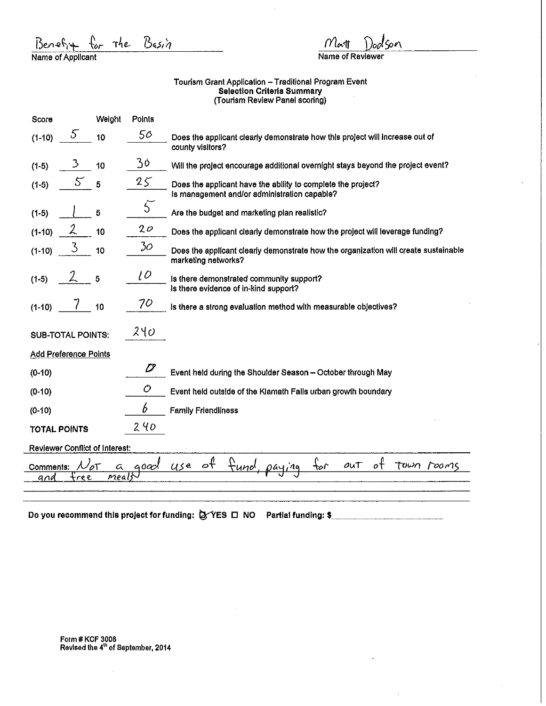| $P$ enet $4$      |  |  |
|-------------------|--|--|
| Name of Applicant |  |  |

 $\mathcal{N}% =\mathcal{N}^{\prime}\mathcal{N}^{\prime}$ laq

Name of Reviewer

## Tourism Grant Application – Traditional Program Event Selection Criteria Summary (Tourism Review Panel scoring)

| Score                          | Weight | Points        |                                                                                                              |
|--------------------------------|--------|---------------|--------------------------------------------------------------------------------------------------------------|
| 5<br>$(1-10)$                  | 10     | 50            | Does the applicant clearly demonstrate how this project will increase out of<br>county visitors?             |
| 3<br>$(1-5)$                   | 10     | 30            | Will the project encourage additional overnight stays beyond the project event?                              |
| 5<br>$(1-5)$                   | 5      | $25^{6}$      | Does the applicant have the ability to complete the project?<br>Is management and/or administration capable? |
| $(1-5)$                        | 5      | $\mathcal{L}$ | Are the budget and marketing plan realistic?                                                                 |
| 2<br>$(1-10)$                  | 10     | 20            | Does the applicant clearly demonstrate how the project will leverage funding?                                |
| $\mathcal{S}$<br>$(1-10)$      | 10     | 30            | Does the applicant clearly demonstrate how the organization will create sustainable<br>marketing networks?   |
| $(1-5)$                        | 5      | l O           | Is there demonstrated community support?<br>Is there evidence of in-kind support?                            |
| $\prime$<br>$(1-10)$           | 10     | 70            | Is there a strong evaluation method with measurable objectives?                                              |
| <b>SUB-TOTAL POINTS:</b>       |        | $2$ ଏ $\phi$  |                                                                                                              |
| Add Preference Points          |        |               |                                                                                                              |
| $(0-10)$                       |        | D             | Event held during the Shoulder Season - October through May                                                  |
| $(0-10)$                       |        | Ò             | Event held outside of the Klamath Falls urban growth boundary                                                |
| $(0-10)$                       |        | 6             | <b>Family Friendliness</b>                                                                                   |
| <b>TOTAL POINTS</b>            |        | 240           |                                                                                                              |
| Reviewer Conflict of Interest: |        |               |                                                                                                              |
| Comments:                      | а      | qoad          | of<br>$e^{\frac{\theta}{c}}$<br>f <u>und</u><br>TOWN POOMS<br>$u$ se<br>out<br>₩                             |
| <u>free</u><br>ana             | meals  |               |                                                                                                              |
|                                |        |               |                                                                                                              |

Do you recommend this project for funding:  $\bigotimes$  YES  $\square$  NO Partial funding: \$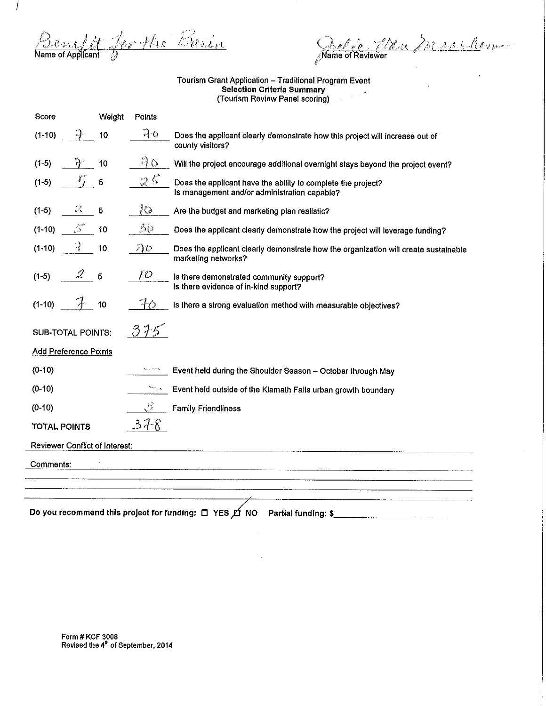Benefit for the Basin

 $\overline{I}$ 

 $\overline{\phantom{a}}$ 

 $\overline{a}$  $\overline{a}$  $\overline{a}$  $\overline{\phantom{0}}$ 

Relee Men Machhen

## Tourism Grant Application - Traditional Program Event Selection Criteria Summary (Tourism Review Panel scoring)

| Score                                 |   | Weight | Points |                                                                                                              |
|---------------------------------------|---|--------|--------|--------------------------------------------------------------------------------------------------------------|
| $(1 - 10)$                            |   | 10     | 70     | Does the applicant clearly demonstrate how this project will increase out of<br>county visitors?             |
| $(1-5)$                               |   | 10     | වී ර   | Will the project encourage additional overnight stays beyond the project event?                              |
| $(1-5)$                               |   | 5      | 25     | Does the applicant have the ability to complete the project?<br>Is management and/or administration capable? |
| $(1-5)$                               | D | 5      | lO     | Are the budget and marketing plan realistic?                                                                 |
| $(1-10)$                              | 5 | 10     | 50     | Does the applicant clearly demonstrate how the project will leverage funding?                                |
| $(1-10)$                              | 3 | 10     | 70     | Does the applicant clearly demonstrate how the organization will create sustainable<br>marketing networks?   |
| $(1-5)$                               | 2 | 5      | TO.    | Is there demonstrated community support?<br>Is there evidence of in-kind support?                            |
| $(1-10)$                              |   | 10     | 70     | Is there a strong evaluation method with measurable objectives?                                              |
| <b>SUB-TOTAL POINTS:</b>              |   |        | 375    |                                                                                                              |
| <b>Add Preference Points</b>          |   |        |        |                                                                                                              |
| $(0-10)$                              |   |        |        | Event held during the Shoulder Season - October through May                                                  |
| $(0-10)$                              |   |        |        | Event held outside of the Klamath Falls urban growth boundary                                                |
| (0.10)                                |   |        | 号      | <b>Family Friendliness</b>                                                                                   |
| <b>TOTAL POINTS</b>                   |   |        | 378    |                                                                                                              |
| <b>Reviewer Conflict of Interest:</b> |   |        |        |                                                                                                              |
| Comments:                             |   |        |        |                                                                                                              |
|                                       |   |        |        |                                                                                                              |
|                                       |   |        |        |                                                                                                              |
|                                       |   |        |        | Partial funding: \$                                                                                          |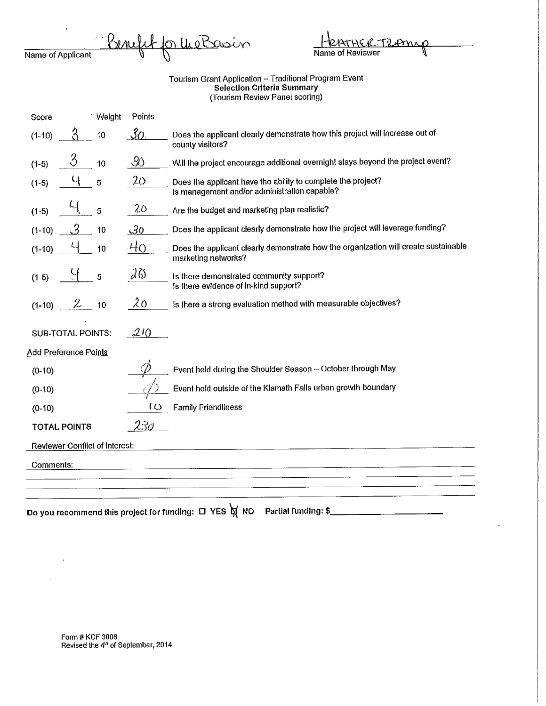|                   |  | Benefit for the Basin |
|-------------------|--|-----------------------|
| Name of Applicant |  |                       |

| HenTHER TRAINIQ  |  |
|------------------|--|
| Name of Reviewer |  |

Tourism Grant Application - Traditional Program Event Selection Criteria Summary (Tourism Review Panel scoring)

| Score                                 | Weight | Points                  |                                                                                                              |
|---------------------------------------|--------|-------------------------|--------------------------------------------------------------------------------------------------------------|
| Κ<br>$(1-10)$                         | 10     | 30 <sub>1</sub>         | Does the applicant clearly demonstrate how this project will increase out of<br>county visitors?             |
| $\langle \rangle$<br>$(1-5)$          | 10     | -90                     | Will the project encourage additional overnight stays beyond the project event?                              |
| $(1-5)$                               | 5      | $2\circ$                | Does the applicant have the ability to complete the project?<br>Is management and/or administration capable? |
| $(1-5)$                               | 5      | 20                      | Are the budget and marketing plan realistic?                                                                 |
| . 2<br>$(1-10)$                       | 10     | 30                      | Does the applicant clearly demonstrate how the project will leverage funding?                                |
| $(1-10)$                              | 10     | $-40$                   | Does the applicant clearly demonstrate how the organization will create sustainable<br>marketing networks?   |
| $(1-5)$                               | 5      | $\partial \mathfrak{G}$ | Is there demonstrated community support?<br>is there evidence of in-kind support?                            |
| $\mathcal{L}$<br>$(1-10)$             | 10     | 20                      | Is there a strong evaluation method with measurable objectives?                                              |
| <b>SUB-TOTAL POINTS:</b>              |        | 210                     |                                                                                                              |
| <b>Add Preference Points</b>          |        |                         |                                                                                                              |
| $(0-10)$                              |        |                         | Event held during the Shoulder Season - October through May                                                  |
| (0.10)                                |        |                         | Event held outside of the Klamath Falls urban growth boundary                                                |
| $(0-10)$                              |        | 10                      | <b>Family Friendliness</b>                                                                                   |
| <b>TOTAL POINTS</b>                   |        | 230                     |                                                                                                              |
| <b>Reviewer Conflict of Interest:</b> |        |                         |                                                                                                              |
| Comments:                             |        |                         |                                                                                                              |
|                                       |        |                         |                                                                                                              |
|                                       |        |                         |                                                                                                              |
|                                       |        |                         | Do you recommend this project for funding: □ YES M NO<br>Partial funding: \$                                 |

 $\mathcal{A}^{\mathcal{A}}$ 

 $\bar{L}$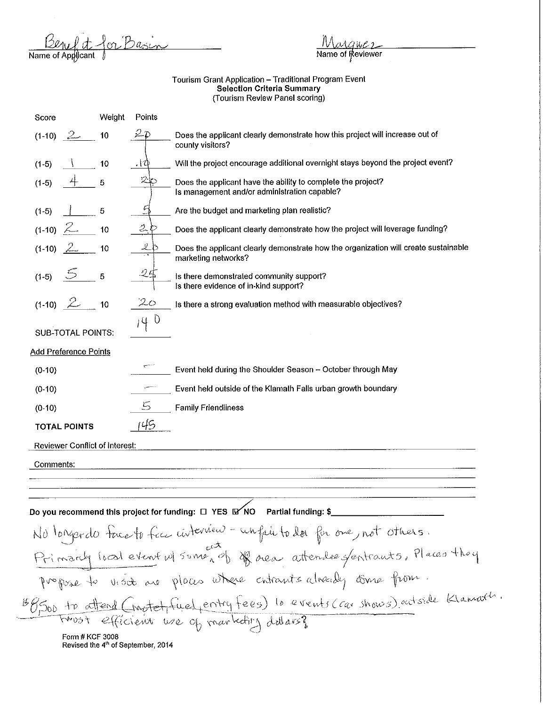<u>Ben et</u> for Basin<br>Name of Applicant 1

## Tourism Grant Application – Traditional Program Event Selection Criteria Summary (Tourism Review Panel scoring)

| Score                                                          | Weight | Points           |                                                                                                              |  |
|----------------------------------------------------------------|--------|------------------|--------------------------------------------------------------------------------------------------------------|--|
| $(1-10)$<br>- Zammer                                           | 10     | 2                | Does the applicant clearly demonstrate how this project will increase out of<br>county visitors?             |  |
| $(1-5)$                                                        | 10     | $\cdot$ i $\Phi$ | Will the project encourage additional overnight stays beyond the project event?                              |  |
| $(1-5)$                                                        | 5      |                  | Does the applicant have the ability to complete the project?<br>Is management and/or administration capable? |  |
| $(1-5)$                                                        | 5      |                  | Are the budget and marketing plan realistic?                                                                 |  |
| $(1-10)$                                                       | 10     | 2ん               | Does the applicant clearly demonstrate how the project will leverage funding?                                |  |
| $(1-10)$                                                       | 10     |                  | Does the applicant clearly demonstrate how the organization will create sustainable<br>marketing networks?   |  |
| $(1-5)$                                                        | 5      | 25               | Is there demonstrated community support?<br>Is there evidence of in-kind support?                            |  |
| $(1-10)$ $2$                                                   | 10     | $2\circ$         | Is there a strong evaluation method with measurable objectives?                                              |  |
| <b>SUB-TOTAL POINTS:</b>                                       |        | 40               |                                                                                                              |  |
| <b>Add Preference Points</b>                                   |        |                  |                                                                                                              |  |
| $(0-10)$                                                       |        |                  | Event held during the Shoulder Season - October through May                                                  |  |
| $(0-10)$                                                       |        |                  | Event held outside of the Klamath Falls urban growth boundary                                                |  |
| $(0-10)$                                                       |        | 5                | <b>Family Friendliness</b>                                                                                   |  |
| <b>TOTAL POINTS</b>                                            |        | 45               |                                                                                                              |  |
| <b>Reviewer Conflict of Interest:</b>                          |        |                  |                                                                                                              |  |
| Comments:                                                      |        |                  |                                                                                                              |  |
|                                                                |        |                  |                                                                                                              |  |
|                                                                |        |                  |                                                                                                              |  |
|                                                                |        |                  | Do you recommend this project for funding: □ YES MYNO Partial funding: \$                                    |  |
|                                                                |        |                  | No longer du face to fice interview - un fair to dor for one, not others.                                    |  |
|                                                                |        |                  | Primary local event w/ some, of of near attended fentrants, Places they                                      |  |
| propose to visite are places where entrants already come from. |        |                  |                                                                                                              |  |
|                                                                |        |                  | 68500 to attend (motel fuel entry fees) le events (car shows) outside Klamart.                               |  |
| Form # KCF 3008                                                |        |                  |                                                                                                              |  |
| Revised the 4 <sup>th</sup> of September, 2014                 |        |                  |                                                                                                              |  |